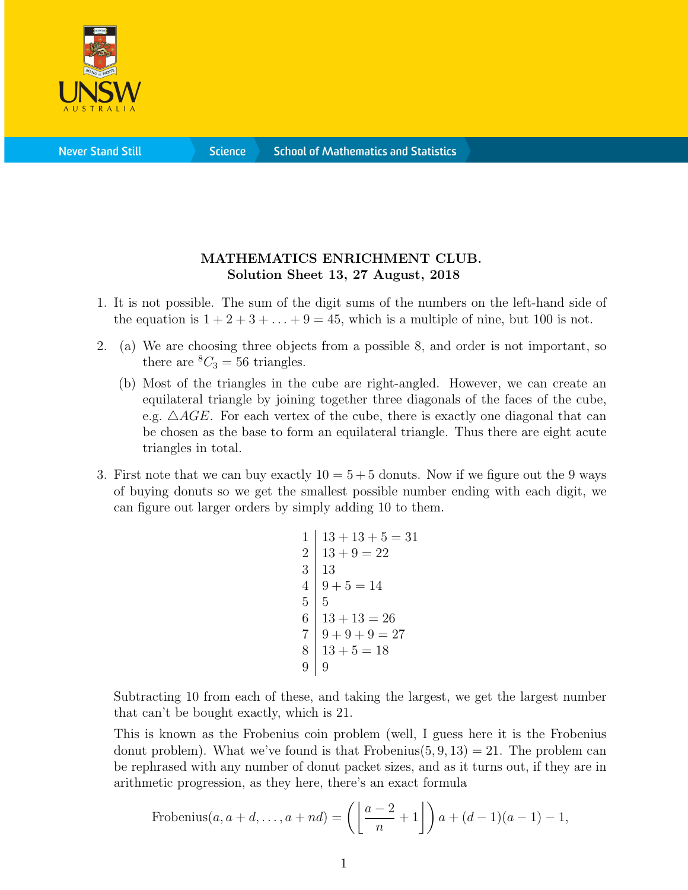

**Science** 

## MATHEMATICS ENRICHMENT CLUB. Solution Sheet 13, 27 August, 2018

- 1. It is not possible. The sum of the digit sums of the numbers on the left-hand side of the equation is  $1 + 2 + 3 + \ldots + 9 = 45$ , which is a multiple of nine, but 100 is not.
- 2. (a) We are choosing three objects from a possible 8, and order is not important, so there are  ${}^8C_3 = 56$  triangles.
	- (b) Most of the triangles in the cube are right-angled. However, we can create an equilateral triangle by joining together three diagonals of the faces of the cube, e.g.  $\triangle AGE$ . For each vertex of the cube, there is exactly one diagonal that can be chosen as the base to form an equilateral triangle. Thus there are eight acute triangles in total.
- 3. First note that we can buy exactly  $10 = 5 + 5$  donuts. Now if we figure out the 9 ways of buying donuts so we get the smallest possible number ending with each digit, we can figure out larger orders by simply adding 10 to them.

```
1 \mid 13 + 13 + 5 = 312 \mid 13 + 9 = 223 \mid 134 | 9 + 5 = 145 \mid 56 \mid 13 + 13 = 267 | 9 + 9 + 9 = 278 | 13 + 5 = 189 \mid 9
```
Subtracting 10 from each of these, and taking the largest, we get the largest number that can't be bought exactly, which is 21.

This is known as the Frobenius coin problem (well, I guess here it is the Frobenius donut problem). What we've found is that Frobenius $(5, 9, 13) = 21$ . The problem can be rephrased with any number of donut packet sizes, and as it turns out, if they are in arithmetic progression, as they here, there's an exact formula

Frobenius
$$
(a, a+d, \ldots, a+nd) = \left(\left\lfloor \frac{a-2}{n} + 1 \right\rfloor\right) a + (d-1)(a-1) - 1,
$$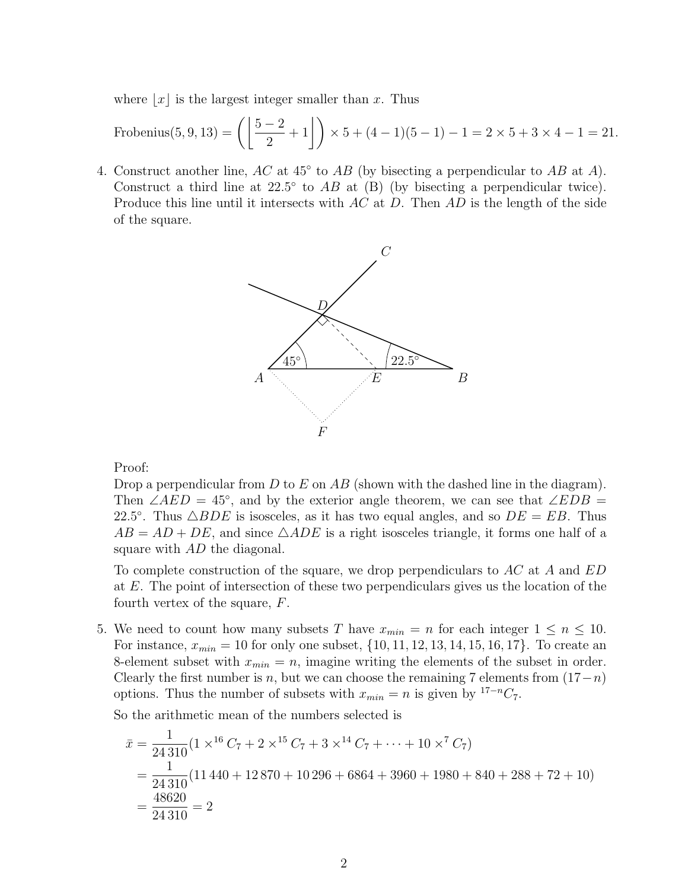where  $|x|$  is the largest integer smaller than x. Thus

Frobenius(5, 9, 13) = 
$$
\left(\left\lfloor \frac{5-2}{2} + 1 \right\rfloor\right) \times 5 + (4-1)(5-1) - 1 = 2 \times 5 + 3 \times 4 - 1 = 21.
$$

4. Construct another line,  $AC$  at  $45^{\circ}$  to  $AB$  (by bisecting a perpendicular to  $AB$  at A). Construct a third line at  $22.5^{\circ}$  to  $AB$  at (B) (by bisecting a perpendicular twice). Produce this line until it intersects with  $AC$  at  $D$ . Then  $AD$  is the length of the side of the square.



Proof:

Drop a perpendicular from D to E on AB (shown with the dashed line in the diagram). Then ∠AED = 45°, and by the exterior angle theorem, we can see that ∠EDB = 22.5°. Thus  $\triangle BDE$  is isosceles, as it has two equal angles, and so  $DE = EB$ . Thus  $AB = AD + DE$ , and since  $\triangle ADE$  is a right isosceles triangle, it forms one half of a square with AD the diagonal.

To complete construction of the square, we drop perpendiculars to AC at A and ED at E. The point of intersection of these two perpendiculars gives us the location of the fourth vertex of the square, F.

5. We need to count how many subsets T have  $x_{min} = n$  for each integer  $1 \le n \le 10$ . For instance,  $x_{min} = 10$  for only one subset,  $\{10, 11, 12, 13, 14, 15, 16, 17\}$ . To create an 8-element subset with  $x_{min} = n$ , imagine writing the elements of the subset in order. Clearly the first number is n, but we can choose the remaining 7 elements from  $(17-n)$ options. Thus the number of subsets with  $x_{min} = n$  is given by <sup>17−n</sup>C<sub>7</sub>.

So the arithmetic mean of the numbers selected is

$$
\bar{x} = \frac{1}{24310} (1 \times^{16} C_7 + 2 \times^{15} C_7 + 3 \times^{14} C_7 + \dots + 10 \times^7 C_7)
$$
  
= 
$$
\frac{1}{24310} (11440 + 12870 + 10296 + 6864 + 3960 + 1980 + 840 + 288 + 72 + 10)
$$
  
= 
$$
\frac{48620}{24310} = 2
$$